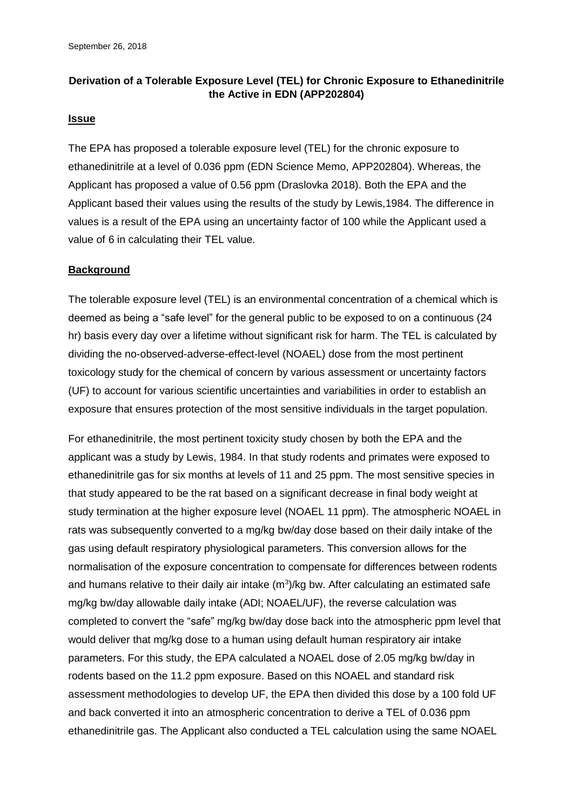### **Derivation of a Tolerable Exposure Level (TEL) for Chronic Exposure to Ethanedinitrile the Active in EDN (APP202804)**

### **Issue**

The EPA has proposed a tolerable exposure level (TEL) for the chronic exposure to ethanedinitrile at a level of 0.036 ppm (EDN Science Memo, APP202804). Whereas, the Applicant has proposed a value of 0.56 ppm (Draslovka 2018). Both the EPA and the Applicant based their values using the results of the study by Lewis,1984. The difference in values is a result of the EPA using an uncertainty factor of 100 while the Applicant used a value of 6 in calculating their TEL value.

### **Background**

The tolerable exposure level (TEL) is an environmental concentration of a chemical which is deemed as being a "safe level" for the general public to be exposed to on a continuous (24 hr) basis every day over a lifetime without significant risk for harm. The TEL is calculated by dividing the no-observed-adverse-effect-level (NOAEL) dose from the most pertinent toxicology study for the chemical of concern by various assessment or uncertainty factors (UF) to account for various scientific uncertainties and variabilities in order to establish an exposure that ensures protection of the most sensitive individuals in the target population.

For ethanedinitrile, the most pertinent toxicity study chosen by both the EPA and the applicant was a study by Lewis, 1984. In that study rodents and primates were exposed to ethanedinitrile gas for six months at levels of 11 and 25 ppm. The most sensitive species in that study appeared to be the rat based on a significant decrease in final body weight at study termination at the higher exposure level (NOAEL 11 ppm). The atmospheric NOAEL in rats was subsequently converted to a mg/kg bw/day dose based on their daily intake of the gas using default respiratory physiological parameters. This conversion allows for the normalisation of the exposure concentration to compensate for differences between rodents and humans relative to their daily air intake  $(m^3)/kg$  bw. After calculating an estimated safe mg/kg bw/day allowable daily intake (ADI; NOAEL/UF), the reverse calculation was completed to convert the "safe" mg/kg bw/day dose back into the atmospheric ppm level that would deliver that mg/kg dose to a human using default human respiratory air intake parameters. For this study, the EPA calculated a NOAEL dose of 2.05 mg/kg bw/day in rodents based on the 11.2 ppm exposure. Based on this NOAEL and standard risk assessment methodologies to develop UF, the EPA then divided this dose by a 100 fold UF and back converted it into an atmospheric concentration to derive a TEL of 0.036 ppm ethanedinitrile gas. The Applicant also conducted a TEL calculation using the same NOAEL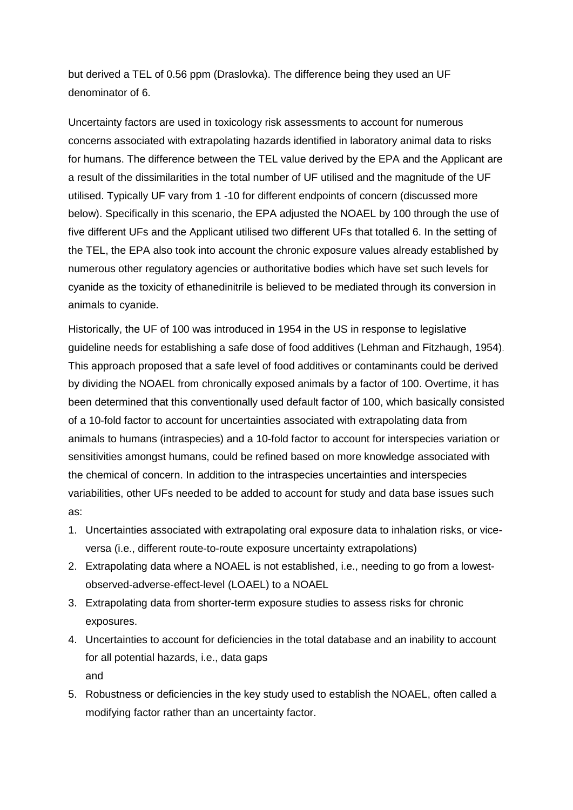but derived a TEL of 0.56 ppm (Draslovka). The difference being they used an UF denominator of 6.

Uncertainty factors are used in toxicology risk assessments to account for numerous concerns associated with extrapolating hazards identified in laboratory animal data to risks for humans. The difference between the TEL value derived by the EPA and the Applicant are a result of the dissimilarities in the total number of UF utilised and the magnitude of the UF utilised. Typically UF vary from 1 -10 for different endpoints of concern (discussed more below). Specifically in this scenario, the EPA adjusted the NOAEL by 100 through the use of five different UFs and the Applicant utilised two different UFs that totalled 6. In the setting of the TEL, the EPA also took into account the chronic exposure values already established by numerous other regulatory agencies or authoritative bodies which have set such levels for cyanide as the toxicity of ethanedinitrile is believed to be mediated through its conversion in animals to cyanide.

Historically, the UF of 100 was introduced in 1954 in the US in response to legislative guideline needs for establishing a safe dose of food additives (Lehman and Fitzhaugh, 1954). This approach proposed that a safe level of food additives or contaminants could be derived by dividing the NOAEL from chronically exposed animals by a factor of 100. Overtime, it has been determined that this conventionally used default factor of 100, which basically consisted of a 10-fold factor to account for uncertainties associated with extrapolating data from animals to humans (intraspecies) and a 10-fold factor to account for interspecies variation or sensitivities amongst humans, could be refined based on more knowledge associated with the chemical of concern. In addition to the intraspecies uncertainties and interspecies variabilities, other UFs needed to be added to account for study and data base issues such as:

- 1. Uncertainties associated with extrapolating oral exposure data to inhalation risks, or viceversa (i.e., different route-to-route exposure uncertainty extrapolations)
- 2. Extrapolating data where a NOAEL is not established, i.e., needing to go from a lowestobserved-adverse-effect-level (LOAEL) to a NOAEL
- 3. Extrapolating data from shorter-term exposure studies to assess risks for chronic exposures.
- 4. Uncertainties to account for deficiencies in the total database and an inability to account for all potential hazards, i.e., data gaps and
- 5. Robustness or deficiencies in the key study used to establish the NOAEL, often called a modifying factor rather than an uncertainty factor.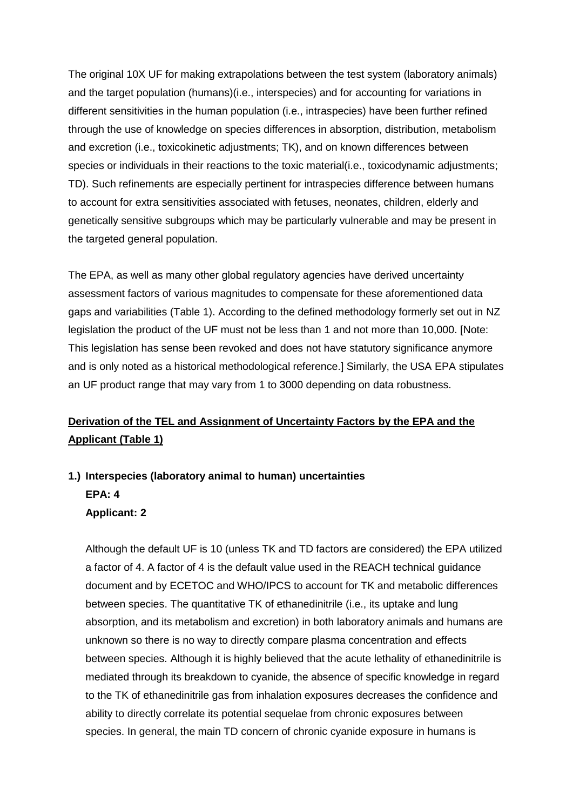The original 10X UF for making extrapolations between the test system (laboratory animals) and the target population (humans)(i.e., interspecies) and for accounting for variations in different sensitivities in the human population (i.e., intraspecies) have been further refined through the use of knowledge on species differences in absorption, distribution, metabolism and excretion (i.e., toxicokinetic adjustments; TK), and on known differences between species or individuals in their reactions to the toxic material(i.e., toxicodynamic adjustments; TD). Such refinements are especially pertinent for intraspecies difference between humans to account for extra sensitivities associated with fetuses, neonates, children, elderly and genetically sensitive subgroups which may be particularly vulnerable and may be present in the targeted general population.

The EPA, as well as many other global regulatory agencies have derived uncertainty assessment factors of various magnitudes to compensate for these aforementioned data gaps and variabilities (Table 1). According to the defined methodology formerly set out in NZ legislation the product of the UF must not be less than 1 and not more than 10,000. [Note: This legislation has sense been revoked and does not have statutory significance anymore and is only noted as a historical methodological reference.] Similarly, the USA EPA stipulates an UF product range that may vary from 1 to 3000 depending on data robustness.

### **Derivation of the TEL and Assignment of Uncertainty Factors by the EPA and the Applicant (Table 1)**

# **1.) Interspecies (laboratory animal to human) uncertainties EPA: 4 Applicant: 2**

Although the default UF is 10 (unless TK and TD factors are considered) the EPA utilized a factor of 4. A factor of 4 is the default value used in the REACH technical guidance document and by ECETOC and WHO/IPCS to account for TK and metabolic differences between species. The quantitative TK of ethanedinitrile (i.e., its uptake and lung absorption, and its metabolism and excretion) in both laboratory animals and humans are unknown so there is no way to directly compare plasma concentration and effects between species. Although it is highly believed that the acute lethality of ethanedinitrile is mediated through its breakdown to cyanide, the absence of specific knowledge in regard to the TK of ethanedinitrile gas from inhalation exposures decreases the confidence and ability to directly correlate its potential sequelae from chronic exposures between species. In general, the main TD concern of chronic cyanide exposure in humans is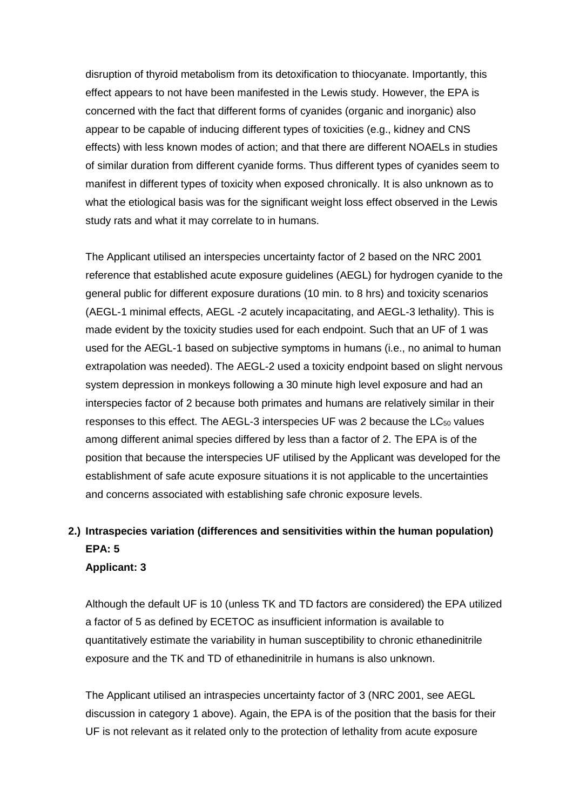disruption of thyroid metabolism from its detoxification to thiocyanate. Importantly, this effect appears to not have been manifested in the Lewis study. However, the EPA is concerned with the fact that different forms of cyanides (organic and inorganic) also appear to be capable of inducing different types of toxicities (e.g., kidney and CNS effects) with less known modes of action; and that there are different NOAELs in studies of similar duration from different cyanide forms. Thus different types of cyanides seem to manifest in different types of toxicity when exposed chronically. It is also unknown as to what the etiological basis was for the significant weight loss effect observed in the Lewis study rats and what it may correlate to in humans.

The Applicant utilised an interspecies uncertainty factor of 2 based on the NRC 2001 reference that established acute exposure guidelines (AEGL) for hydrogen cyanide to the general public for different exposure durations (10 min. to 8 hrs) and toxicity scenarios (AEGL-1 minimal effects, AEGL -2 acutely incapacitating, and AEGL-3 lethality). This is made evident by the toxicity studies used for each endpoint. Such that an UF of 1 was used for the AEGL-1 based on subjective symptoms in humans (i.e., no animal to human extrapolation was needed). The AEGL-2 used a toxicity endpoint based on slight nervous system depression in monkeys following a 30 minute high level exposure and had an interspecies factor of 2 because both primates and humans are relatively similar in their responses to this effect. The AEGL-3 interspecies UF was 2 because the  $LC_{50}$  values among different animal species differed by less than a factor of 2. The EPA is of the position that because the interspecies UF utilised by the Applicant was developed for the establishment of safe acute exposure situations it is not applicable to the uncertainties and concerns associated with establishing safe chronic exposure levels.

# **2.) Intraspecies variation (differences and sensitivities within the human population) EPA: 5**

#### **Applicant: 3**

Although the default UF is 10 (unless TK and TD factors are considered) the EPA utilized a factor of 5 as defined by ECETOC as insufficient information is available to quantitatively estimate the variability in human susceptibility to chronic ethanedinitrile exposure and the TK and TD of ethanedinitrile in humans is also unknown.

The Applicant utilised an intraspecies uncertainty factor of 3 (NRC 2001, see AEGL discussion in category 1 above). Again, the EPA is of the position that the basis for their UF is not relevant as it related only to the protection of lethality from acute exposure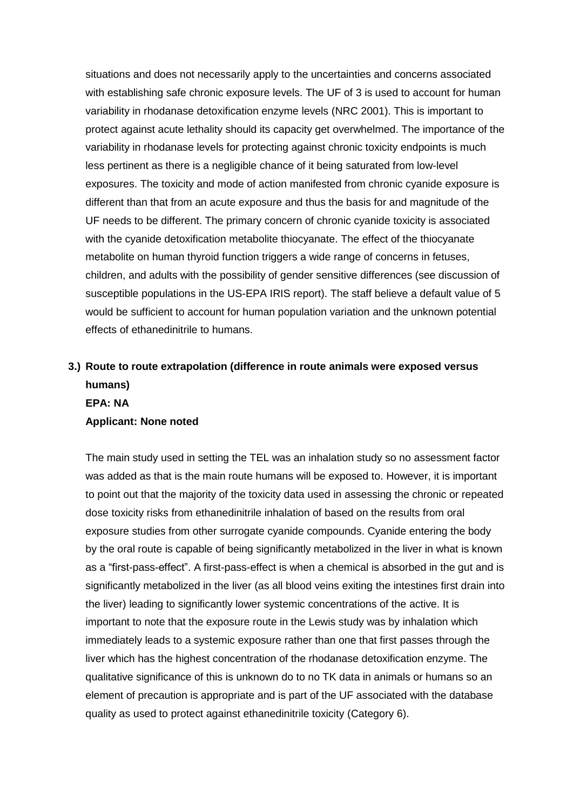situations and does not necessarily apply to the uncertainties and concerns associated with establishing safe chronic exposure levels. The UF of 3 is used to account for human variability in rhodanase detoxification enzyme levels (NRC 2001). This is important to protect against acute lethality should its capacity get overwhelmed. The importance of the variability in rhodanase levels for protecting against chronic toxicity endpoints is much less pertinent as there is a negligible chance of it being saturated from low-level exposures. The toxicity and mode of action manifested from chronic cyanide exposure is different than that from an acute exposure and thus the basis for and magnitude of the UF needs to be different. The primary concern of chronic cyanide toxicity is associated with the cyanide detoxification metabolite thiocyanate. The effect of the thiocyanate metabolite on human thyroid function triggers a wide range of concerns in fetuses, children, and adults with the possibility of gender sensitive differences (see discussion of susceptible populations in the US-EPA IRIS report). The staff believe a default value of 5 would be sufficient to account for human population variation and the unknown potential effects of ethanedinitrile to humans.

## **3.) Route to route extrapolation (difference in route animals were exposed versus humans) EPA: NA Applicant: None noted**

The main study used in setting the TEL was an inhalation study so no assessment factor was added as that is the main route humans will be exposed to. However, it is important to point out that the majority of the toxicity data used in assessing the chronic or repeated dose toxicity risks from ethanedinitrile inhalation of based on the results from oral exposure studies from other surrogate cyanide compounds. Cyanide entering the body by the oral route is capable of being significantly metabolized in the liver in what is known as a "first-pass-effect". A first-pass-effect is when a chemical is absorbed in the gut and is significantly metabolized in the liver (as all blood veins exiting the intestines first drain into the liver) leading to significantly lower systemic concentrations of the active. It is important to note that the exposure route in the Lewis study was by inhalation which immediately leads to a systemic exposure rather than one that first passes through the liver which has the highest concentration of the rhodanase detoxification enzyme. The qualitative significance of this is unknown do to no TK data in animals or humans so an element of precaution is appropriate and is part of the UF associated with the database quality as used to protect against ethanedinitrile toxicity (Category 6).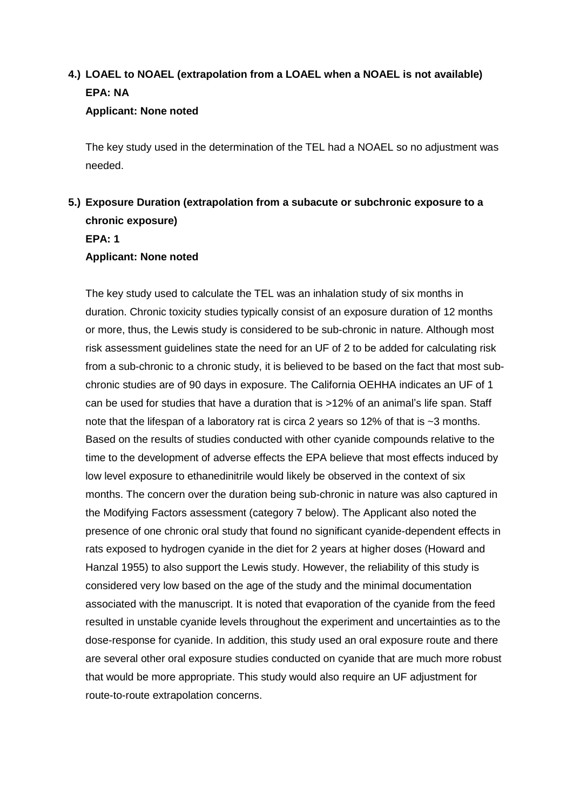# **4.) LOAEL to NOAEL (extrapolation from a LOAEL when a NOAEL is not available) EPA: NA Applicant: None noted**

The key study used in the determination of the TEL had a NOAEL so no adjustment was needed.

## **5.) Exposure Duration (extrapolation from a subacute or subchronic exposure to a chronic exposure) EPA: 1 Applicant: None noted**

The key study used to calculate the TEL was an inhalation study of six months in duration. Chronic toxicity studies typically consist of an exposure duration of 12 months or more, thus, the Lewis study is considered to be sub-chronic in nature. Although most risk assessment guidelines state the need for an UF of 2 to be added for calculating risk from a sub-chronic to a chronic study, it is believed to be based on the fact that most subchronic studies are of 90 days in exposure. The California OEHHA indicates an UF of 1 can be used for studies that have a duration that is >12% of an animal's life span. Staff note that the lifespan of a laboratory rat is circa 2 years so 12% of that is ~3 months. Based on the results of studies conducted with other cyanide compounds relative to the time to the development of adverse effects the EPA believe that most effects induced by low level exposure to ethanedinitrile would likely be observed in the context of six months. The concern over the duration being sub-chronic in nature was also captured in the Modifying Factors assessment (category 7 below). The Applicant also noted the presence of one chronic oral study that found no significant cyanide-dependent effects in rats exposed to hydrogen cyanide in the diet for 2 years at higher doses (Howard and Hanzal 1955) to also support the Lewis study. However, the reliability of this study is considered very low based on the age of the study and the minimal documentation associated with the manuscript. It is noted that evaporation of the cyanide from the feed resulted in unstable cyanide levels throughout the experiment and uncertainties as to the dose-response for cyanide. In addition, this study used an oral exposure route and there are several other oral exposure studies conducted on cyanide that are much more robust that would be more appropriate. This study would also require an UF adjustment for route-to-route extrapolation concerns.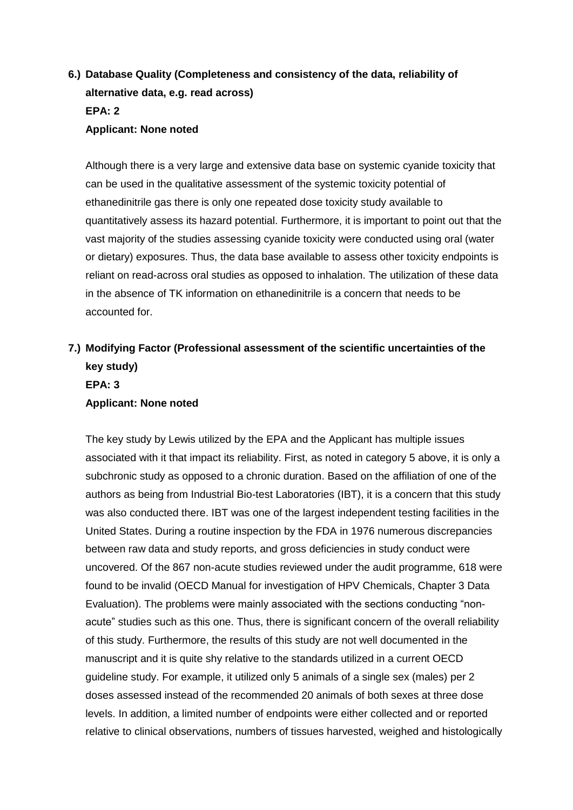## **6.) Database Quality (Completeness and consistency of the data, reliability of alternative data, e.g. read across) EPA: 2 Applicant: None noted**

Although there is a very large and extensive data base on systemic cyanide toxicity that can be used in the qualitative assessment of the systemic toxicity potential of ethanedinitrile gas there is only one repeated dose toxicity study available to quantitatively assess its hazard potential. Furthermore, it is important to point out that the vast majority of the studies assessing cyanide toxicity were conducted using oral (water or dietary) exposures. Thus, the data base available to assess other toxicity endpoints is reliant on read-across oral studies as opposed to inhalation. The utilization of these data in the absence of TK information on ethanedinitrile is a concern that needs to be accounted for.

## **7.) Modifying Factor (Professional assessment of the scientific uncertainties of the key study) EPA: 3 Applicant: None noted**

The key study by Lewis utilized by the EPA and the Applicant has multiple issues associated with it that impact its reliability. First, as noted in category 5 above, it is only a subchronic study as opposed to a chronic duration. Based on the affiliation of one of the authors as being from Industrial Bio-test Laboratories (IBT), it is a concern that this study was also conducted there. IBT was one of the largest independent testing facilities in the United States. During a routine inspection by the FDA in 1976 numerous discrepancies between raw data and study reports, and gross deficiencies in study conduct were uncovered. Of the 867 non-acute studies reviewed under the audit programme, 618 were found to be invalid (OECD Manual for investigation of HPV Chemicals, Chapter 3 Data Evaluation). The problems were mainly associated with the sections conducting "nonacute" studies such as this one. Thus, there is significant concern of the overall reliability of this study. Furthermore, the results of this study are not well documented in the manuscript and it is quite shy relative to the standards utilized in a current OECD guideline study. For example, it utilized only 5 animals of a single sex (males) per 2 doses assessed instead of the recommended 20 animals of both sexes at three dose levels. In addition, a limited number of endpoints were either collected and or reported relative to clinical observations, numbers of tissues harvested, weighed and histologically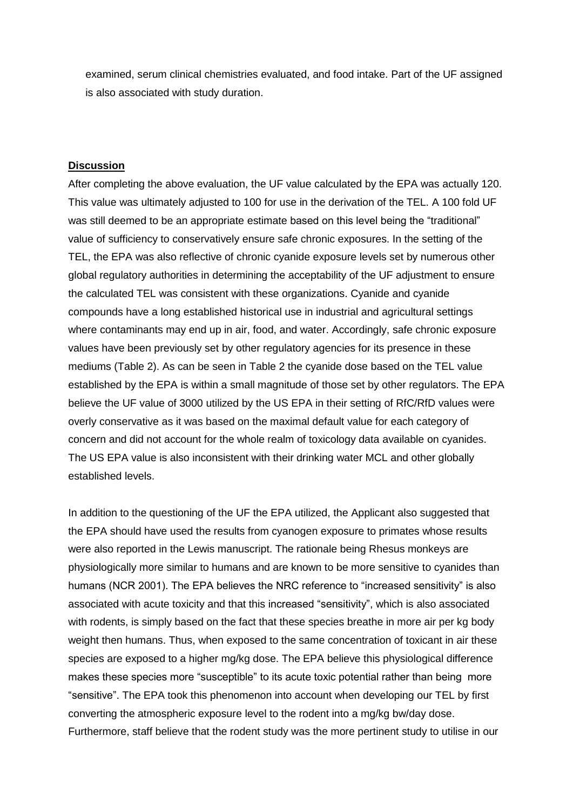examined, serum clinical chemistries evaluated, and food intake. Part of the UF assigned is also associated with study duration.

#### **Discussion**

After completing the above evaluation, the UF value calculated by the EPA was actually 120. This value was ultimately adjusted to 100 for use in the derivation of the TEL. A 100 fold UF was still deemed to be an appropriate estimate based on this level being the "traditional" value of sufficiency to conservatively ensure safe chronic exposures. In the setting of the TEL, the EPA was also reflective of chronic cyanide exposure levels set by numerous other global regulatory authorities in determining the acceptability of the UF adjustment to ensure the calculated TEL was consistent with these organizations. Cyanide and cyanide compounds have a long established historical use in industrial and agricultural settings where contaminants may end up in air, food, and water. Accordingly, safe chronic exposure values have been previously set by other regulatory agencies for its presence in these mediums (Table 2). As can be seen in Table 2 the cyanide dose based on the TEL value established by the EPA is within a small magnitude of those set by other regulators. The EPA believe the UF value of 3000 utilized by the US EPA in their setting of RfC/RfD values were overly conservative as it was based on the maximal default value for each category of concern and did not account for the whole realm of toxicology data available on cyanides. The US EPA value is also inconsistent with their drinking water MCL and other globally established levels.

In addition to the questioning of the UF the EPA utilized, the Applicant also suggested that the EPA should have used the results from cyanogen exposure to primates whose results were also reported in the Lewis manuscript. The rationale being Rhesus monkeys are physiologically more similar to humans and are known to be more sensitive to cyanides than humans (NCR 2001). The EPA believes the NRC reference to "increased sensitivity" is also associated with acute toxicity and that this increased "sensitivity", which is also associated with rodents, is simply based on the fact that these species breathe in more air per kg body weight then humans. Thus, when exposed to the same concentration of toxicant in air these species are exposed to a higher mg/kg dose. The EPA believe this physiological difference makes these species more "susceptible" to its acute toxic potential rather than being more "sensitive". The EPA took this phenomenon into account when developing our TEL by first converting the atmospheric exposure level to the rodent into a mg/kg bw/day dose. Furthermore, staff believe that the rodent study was the more pertinent study to utilise in our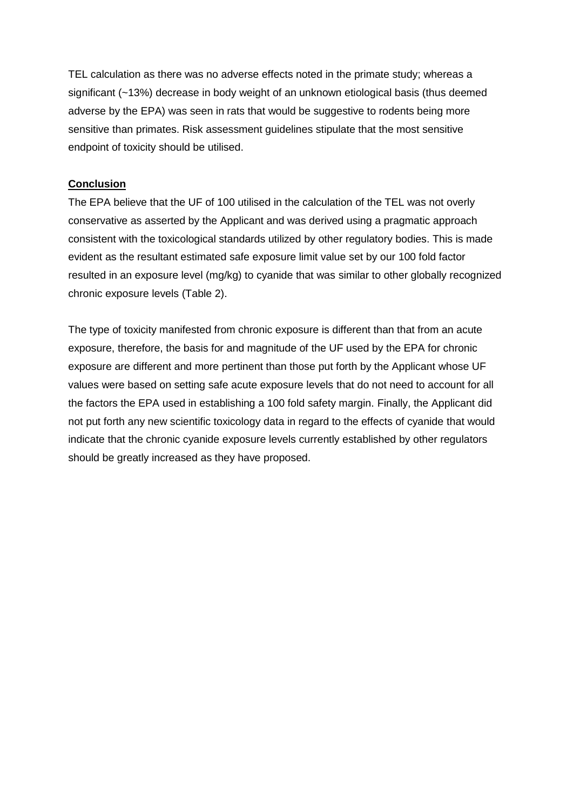TEL calculation as there was no adverse effects noted in the primate study; whereas a significant (~13%) decrease in body weight of an unknown etiological basis (thus deemed adverse by the EPA) was seen in rats that would be suggestive to rodents being more sensitive than primates. Risk assessment guidelines stipulate that the most sensitive endpoint of toxicity should be utilised.

### **Conclusion**

The EPA believe that the UF of 100 utilised in the calculation of the TEL was not overly conservative as asserted by the Applicant and was derived using a pragmatic approach consistent with the toxicological standards utilized by other regulatory bodies. This is made evident as the resultant estimated safe exposure limit value set by our 100 fold factor resulted in an exposure level (mg/kg) to cyanide that was similar to other globally recognized chronic exposure levels (Table 2).

The type of toxicity manifested from chronic exposure is different than that from an acute exposure, therefore, the basis for and magnitude of the UF used by the EPA for chronic exposure are different and more pertinent than those put forth by the Applicant whose UF values were based on setting safe acute exposure levels that do not need to account for all the factors the EPA used in establishing a 100 fold safety margin. Finally, the Applicant did not put forth any new scientific toxicology data in regard to the effects of cyanide that would indicate that the chronic cyanide exposure levels currently established by other regulators should be greatly increased as they have proposed.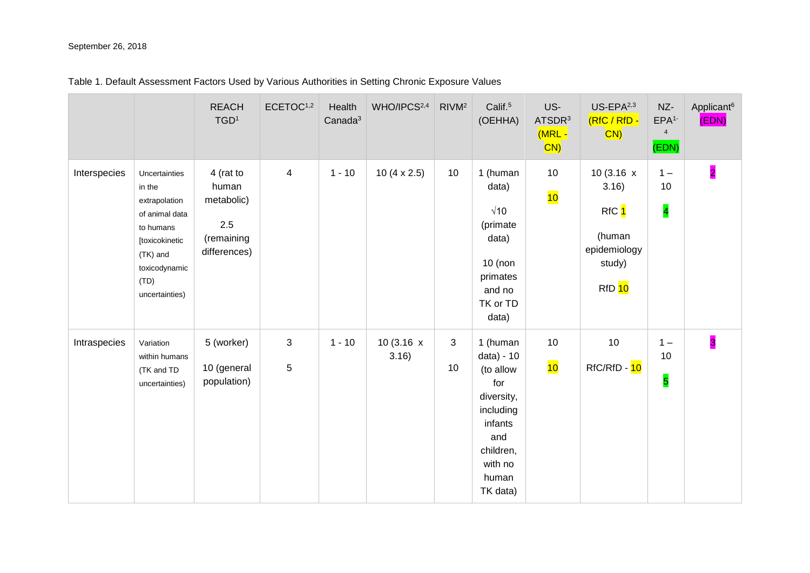#### September 26, 2018

| Table 1. Default Assessment Factors Used by Various Authorities in Setting Chronic Exposure Values |
|----------------------------------------------------------------------------------------------------|
|----------------------------------------------------------------------------------------------------|

|              |                                                                                                                                                  | <b>REACH</b><br>TGD <sup>1</sup>                                          | ECETOC <sup>1,2</sup> | Health<br>Canada <sup>3</sup> | WHO/IPCS <sup>2,4</sup>    | RIVM <sup>2</sup> | Calif. <sup>5</sup><br>(OEHHA)                                                                                                       | US-<br>ATSDR <sup>3</sup><br>(MRL -<br>$ CN\rangle$ | $US$ -EPA $2,3$<br>(RfC / RfD -<br>CN)                                                       | NZ-<br>EPA <sup>1</sup><br>$\overline{4}$<br>(EDN) | Applicant <sup>6</sup><br>(EDN) |
|--------------|--------------------------------------------------------------------------------------------------------------------------------------------------|---------------------------------------------------------------------------|-----------------------|-------------------------------|----------------------------|-------------------|--------------------------------------------------------------------------------------------------------------------------------------|-----------------------------------------------------|----------------------------------------------------------------------------------------------|----------------------------------------------------|---------------------------------|
| Interspecies | Uncertainties<br>in the<br>extrapolation<br>of animal data<br>to humans<br>[toxicokinetic<br>(TK) and<br>toxicodynamic<br>(TD)<br>uncertainties) | 4 (rat to<br>human<br>metabolic)<br>$2.5\,$<br>(remaining<br>differences) | $\overline{4}$        | $1 - 10$                      | 10 $(4 \times 2.5)$        | 10                | 1 (human<br>data)<br>$\sqrt{10}$<br>(primate<br>data)<br>$10$ (non<br>primates<br>and no<br>TK or TD<br>data)                        | 10<br>10                                            | 10 $(3.16 \times$<br>3.16)<br>RfC 1<br>(human<br>epidemiology<br>study)<br>RfD <sub>10</sub> | $1 -$<br>10<br>$\overline{\mathbf{4}}$             | $\overline{2}$                  |
| Intraspecies | Variation<br>within humans<br>(TK and TD<br>uncertainties)                                                                                       | 5 (worker)<br>10 (general<br>population)                                  | 3<br>5                | $1 - 10$                      | 10 $(3.16 \times$<br>3.16) | 3<br>10           | 1 (human<br>data) - 10<br>(to allow<br>for<br>diversity,<br>including<br>infants<br>and<br>children,<br>with no<br>human<br>TK data) | 10<br>10                                            | 10<br>RfC/RfD - 10                                                                           | $1 -$<br>10<br>5                                   | $\overline{\mathbf{3}}$         |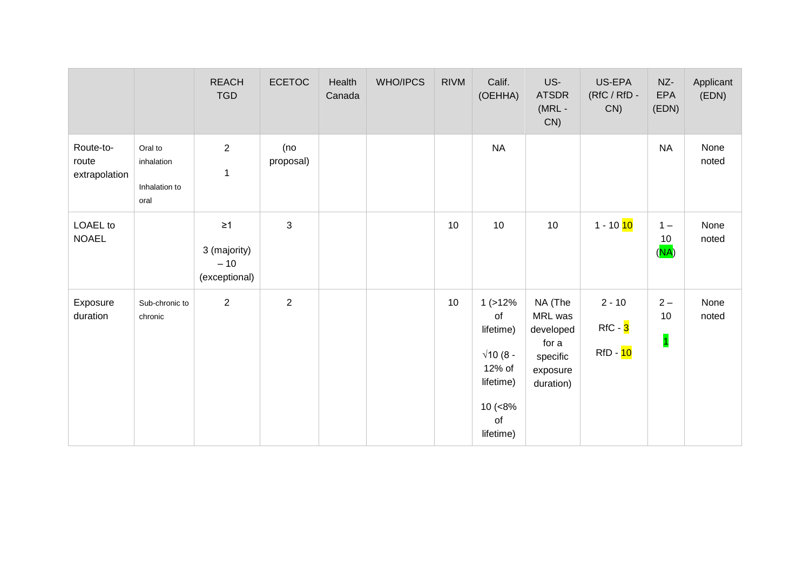|                                     |                                                | <b>REACH</b><br><b>TGD</b>                         | <b>ECETOC</b>    | Health<br>Canada | WHO/IPCS | <b>RIVM</b> | Calif.<br>(OEHHA)                                                                                    | US-<br><b>ATSDR</b><br>$(MRL -$<br>CN)                                        | US-EPA<br>$(RfC / RfD -$<br>CN)                | NZ-<br>EPA<br>(EDN)                    | Applicant<br>(EDN) |
|-------------------------------------|------------------------------------------------|----------------------------------------------------|------------------|------------------|----------|-------------|------------------------------------------------------------------------------------------------------|-------------------------------------------------------------------------------|------------------------------------------------|----------------------------------------|--------------------|
| Route-to-<br>route<br>extrapolation | Oral to<br>inhalation<br>Inhalation to<br>oral | $\mathbf{2}$<br>$\mathbf{1}$                       | (no<br>proposal) |                  |          |             | <b>NA</b>                                                                                            |                                                                               |                                                | $\sf NA$                               | None<br>noted      |
| <b>LOAEL</b> to<br><b>NOAEL</b>     |                                                | $\geq 1$<br>3 (majority)<br>$-10$<br>(exceptional) | $\mathbf{3}$     |                  |          | 10          | 10                                                                                                   | 10                                                                            | 1 - 10 <mark>10</mark>                         | $1 -$<br>10<br>(NA)                    | None<br>noted      |
| Exposure<br>duration                | Sub-chronic to<br>chronic                      | $\overline{2}$                                     | $\overline{2}$   |                  |          | 10          | 1(>12%<br>of<br>lifetime)<br>$\sqrt{10}$ (8 -<br>12% of<br>lifetime)<br>$10 (-8%$<br>of<br>lifetime) | NA (The<br>MRL was<br>developed<br>for a<br>specific<br>exposure<br>duration) | $2 - 10$<br>$RfC - 3$<br>RfD - <mark>10</mark> | $2 -$<br>10<br>$\overline{\mathbf{1}}$ | None<br>noted      |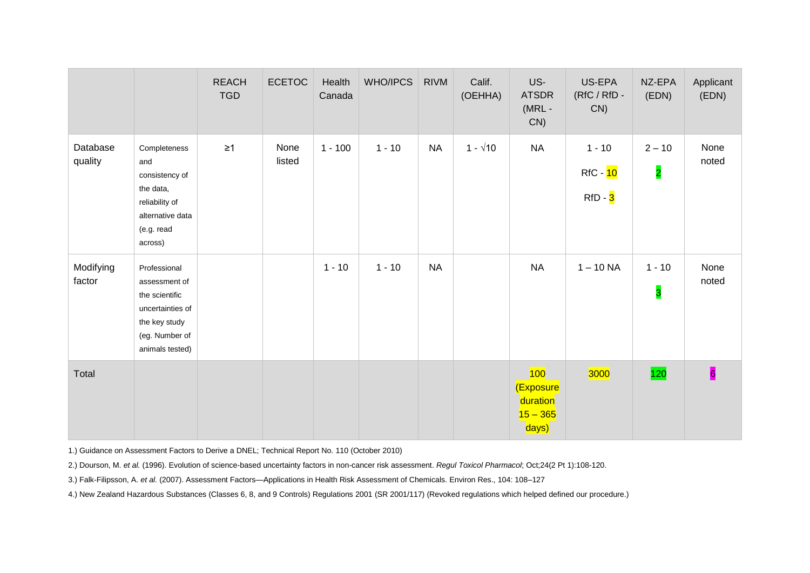|                     |                                                                                                                           | <b>REACH</b><br><b>TGD</b> | <b>ECETOC</b>  | Health<br>Canada | WHO/IPCS | <b>RIVM</b> | Calif.<br>(OEHHA) | US-<br><b>ATSDR</b><br>$(MRL -$<br>CN)              | US-EPA<br>(RfC / RfD -<br>CN)                | NZ-EPA<br>(EDN)                     | Applicant<br>(EDN)      |
|---------------------|---------------------------------------------------------------------------------------------------------------------------|----------------------------|----------------|------------------|----------|-------------|-------------------|-----------------------------------------------------|----------------------------------------------|-------------------------------------|-------------------------|
| Database<br>quality | Completeness<br>and<br>consistency of<br>the data,<br>reliability of<br>alternative data<br>(e.g. read<br>across)         | $\geq$ 1                   | None<br>listed | $1 - 100$        | $1 - 10$ | <b>NA</b>   | $1 - \sqrt{10}$   | <b>NA</b>                                           | $1 - 10$<br>RfC - 10<br>RfD - <mark>3</mark> | $2 - 10$<br>$\overline{2}$          | None<br>noted           |
| Modifying<br>factor | Professional<br>assessment of<br>the scientific<br>uncertainties of<br>the key study<br>(eg. Number of<br>animals tested) |                            |                | $1 - 10$         | $1 - 10$ | <b>NA</b>   |                   | <b>NA</b>                                           | $1 - 10$ NA                                  | $1 - 10$<br>$\overline{\mathbf{3}}$ | None<br>noted           |
| Total               |                                                                                                                           |                            |                |                  |          |             |                   | 100<br>(Exposure<br>duration<br>$15 - 365$<br>days) | 3000                                         | 120                                 | $\overline{\mathbf{6}}$ |

1.) Guidance on Assessment Factors to Derive a DNEL; Technical Report No. 110 (October 2010)

2.[\) Dourson, M.](https://www.ncbi.nlm.nih.gov/pubmed/?term=Dourson%20ML%5BAuthor%5D&cauthor=true&cauthor_uid=8933624) *et al.* (1996). Evolution of science-based uncertainty factors in non-cancer risk assessment. *Regul Toxicol Pharmacol*; Oct;24(2 Pt 1):108-120.

3.) Falk-Filipsson, A. *et al.* (2007). Assessment Factors—Applications in Health Risk Assessment of Chemicals. Environ Res., 104: 108–127

4.) New Zealand Hazardous Substances (Classes 6, 8, and 9 Controls) Regulations 2001 (SR 2001/117) (Revoked regulations which helped defined our procedure.)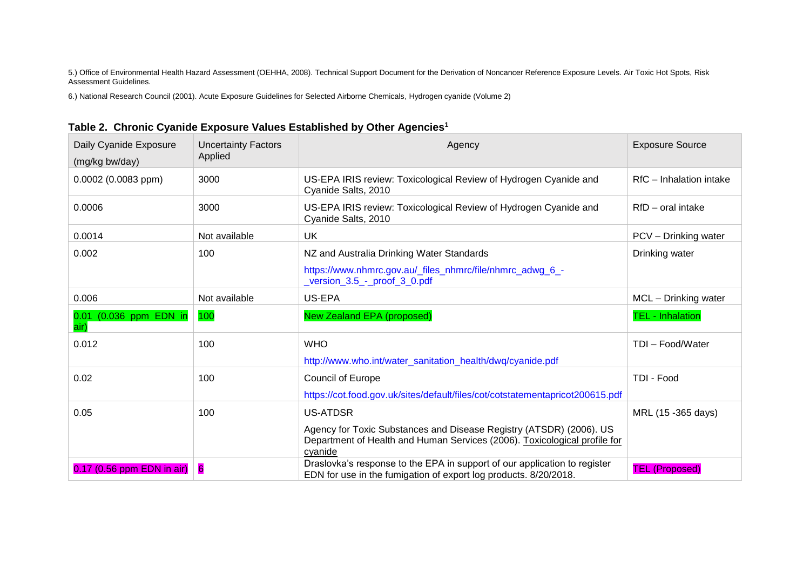5.) Office of Environmental Health Hazard Assessment (OEHHA, 2008). Technical Support Document for the Derivation of Noncancer Reference Exposure Levels. Air Toxic Hot Spots, Risk Assessment Guidelines.

6.) National Research Council (2001). Acute Exposure Guidelines for Selected Airborne Chemicals, Hydrogen cyanide (Volume 2)

| Daily Cyanide Exposure<br>(mg/kg bw/day) | <b>Uncertainty Factors</b><br>Applied | Agency                                                                                                                                                      | <b>Exposure Source</b>  |
|------------------------------------------|---------------------------------------|-------------------------------------------------------------------------------------------------------------------------------------------------------------|-------------------------|
| 0.0002 (0.0083 ppm)                      | 3000                                  | US-EPA IRIS review: Toxicological Review of Hydrogen Cyanide and<br>Cyanide Salts, 2010                                                                     | RfC - Inhalation intake |
| 0.0006                                   | 3000                                  | US-EPA IRIS review: Toxicological Review of Hydrogen Cyanide and<br>Cyanide Salts, 2010                                                                     | RfD – oral intake       |
| 0.0014                                   | Not available                         | UK                                                                                                                                                          | PCV - Drinking water    |
| 0.002                                    | 100                                   | NZ and Australia Drinking Water Standards                                                                                                                   | Drinking water          |
|                                          |                                       | https://www.nhmrc.gov.au/_files_nhmrc/file/nhmrc_adwg_6_-<br>version_3.5_-_proof_3_0.pdf                                                                    |                         |
| 0.006                                    | Not available                         | US-EPA                                                                                                                                                      | MCL - Drinking water    |
| 0.01 (0.036 ppm EDN in<br>air)           | 100                                   | <b>New Zealand EPA (proposed)</b>                                                                                                                           | <b>TEL - Inhalation</b> |
| 0.012                                    | 100                                   | <b>WHO</b>                                                                                                                                                  | TDI-Food/Water          |
|                                          |                                       | http://www.who.int/water_sanitation_health/dwq/cyanide.pdf                                                                                                  |                         |
| 0.02                                     | 100                                   | Council of Europe                                                                                                                                           | TDI - Food              |
|                                          |                                       | https://cot.food.gov.uk/sites/default/files/cot/cotstatementapricot200615.pdf                                                                               |                         |
| 0.05                                     | 100                                   | <b>US-ATDSR</b>                                                                                                                                             | MRL (15 -365 days)      |
|                                          |                                       | Agency for Toxic Substances and Disease Registry (ATSDR) (2006). US<br>Department of Health and Human Services (2006). Toxicological profile for<br>cyanide |                         |
| $0.17$ (0.56 ppm EDN in air)             | 6                                     | Draslovka's response to the EPA in support of our application to register<br>EDN for use in the fumigation of export log products. 8/20/2018.               | <b>TEL (Proposed)</b>   |

|  |  |  |  |  | Table 2. Chronic Cyanide Exposure Values Established by Other Agencies <sup>1</sup> |  |  |
|--|--|--|--|--|-------------------------------------------------------------------------------------|--|--|
|--|--|--|--|--|-------------------------------------------------------------------------------------|--|--|